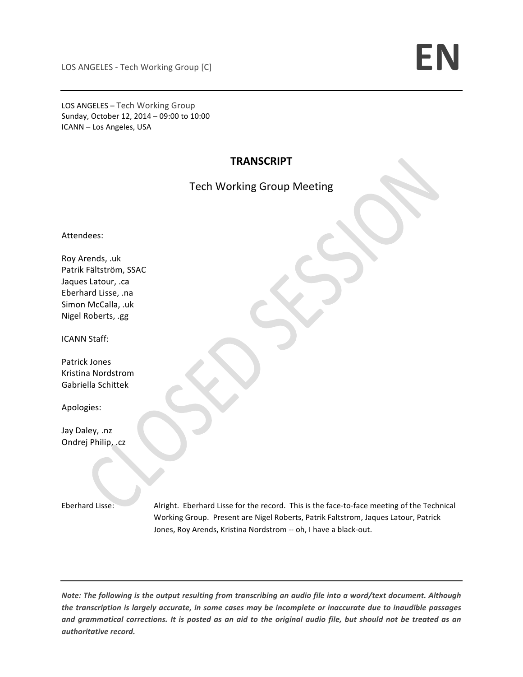LOS ANGELES – Tech Working Group Sunday, October 12, 2014 - 09:00 to 10:00 ICANN - Los Angeles, USA

## **TRANSCRIPT**

## Tech Working Group Meeting

Attendees:

Roy Arends, .uk Patrik Fältström, SSAC Jaques Latour, .ca Eberhard Lisse, .na Simon McCalla, .uk Nigel Roberts, .gg

ICANN Staff:

Patrick Jones Kristina Nordstrom Gabriella Schittek

Apologies:

Jay Daley, .nz Ondrej Philip, .cz

Eberhard Lisse: Alright. Eberhard Lisse for the record. This is the face-to-face meeting of the Technical Working Group. Present are Nigel Roberts, Patrik Faltstrom, Jaques Latour, Patrick Jones, Roy Arends, Kristina Nordstrom -- oh, I have a black-out.

*Note:* The following is the output resulting from transcribing an audio file into a word/text document. Although *the transcription is largely accurate, in some cases may be incomplete or inaccurate due to inaudible passages* and grammatical corrections. It is posted as an aid to the original audio file, but should not be treated as an *authoritative record.*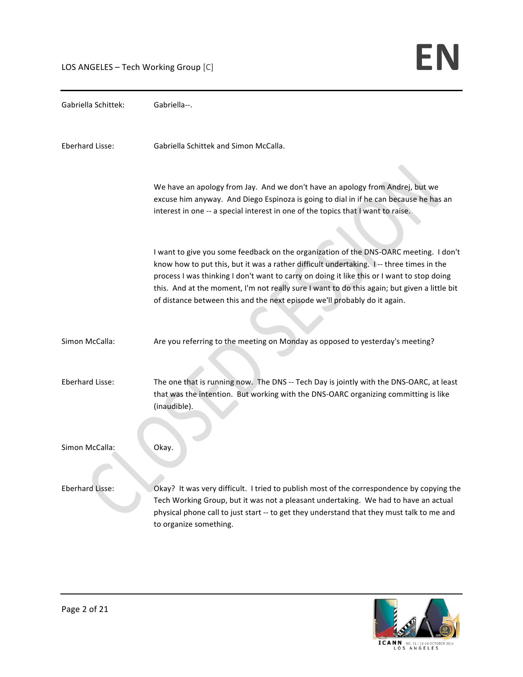LOS ANGELES – Tech Working Group  $[C]$ 

Gabriella Schittek: Gabriella--. Eberhard Lisse: Gabriella Schittek and Simon McCalla. We have an apology from Jay. And we don't have an apology from Andrej, but we excuse him anyway. And Diego Espinoza is going to dial in if he can because he has an interest in one -- a special interest in one of the topics that I want to raise. I want to give you some feedback on the organization of the DNS-OARC meeting. I don't know how to put this, but it was a rather difficult undertaking. I-- three times in the process I was thinking I don't want to carry on doing it like this or I want to stop doing this. And at the moment, I'm not really sure I want to do this again; but given a little bit of distance between this and the next episode we'll probably do it again. Simon McCalla: Are you referring to the meeting on Monday as opposed to yesterday's meeting? Eberhard Lisse: The one that is running now. The DNS -- Tech Day is jointly with the DNS-OARC, at least that was the intention. But working with the DNS-OARC organizing committing is like (inaudible). Simon McCalla: Okay. Eberhard Lisse: Okay? It was very difficult. I tried to publish most of the correspondence by copying the Tech Working Group, but it was not a pleasant undertaking. We had to have an actual physical phone call to just start -- to get they understand that they must talk to me and to organize something.

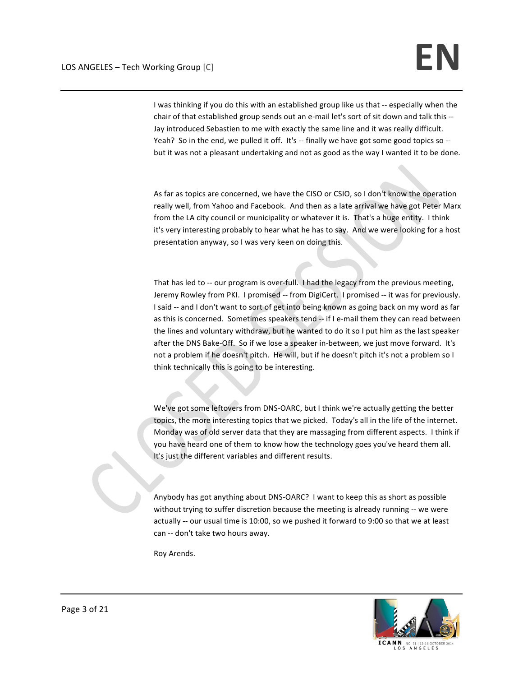I was thinking if you do this with an established group like us that -- especially when the chair of that established group sends out an e-mail let's sort of sit down and talk this --Jay introduced Sebastien to me with exactly the same line and it was really difficult. Yeah? So in the end, we pulled it off. It's -- finally we have got some good topics so -but it was not a pleasant undertaking and not as good as the way I wanted it to be done.

As far as topics are concerned, we have the CISO or CSIO, so I don't know the operation really well, from Yahoo and Facebook. And then as a late arrival we have got Peter Marx from the LA city council or municipality or whatever it is. That's a huge entity. I think it's very interesting probably to hear what he has to say. And we were looking for a host presentation anyway, so I was very keen on doing this.

That has led to -- our program is over-full. I had the legacy from the previous meeting, Jeremy Rowley from PKI. I promised -- from DigiCert. I promised -- it was for previously. I said -- and I don't want to sort of get into being known as going back on my word as far as this is concerned. Sometimes speakers tend -- if I e-mail them they can read between the lines and voluntary withdraw, but he wanted to do it so I put him as the last speaker after the DNS Bake-Off. So if we lose a speaker in-between, we just move forward. It's not a problem if he doesn't pitch. He will, but if he doesn't pitch it's not a problem so I think technically this is going to be interesting.

We've got some leftovers from DNS-OARC, but I think we're actually getting the better topics, the more interesting topics that we picked. Today's all in the life of the internet. Monday was of old server data that they are massaging from different aspects. I think if you have heard one of them to know how the technology goes you've heard them all. It's just the different variables and different results.

Anybody has got anything about DNS-OARC? I want to keep this as short as possible without trying to suffer discretion because the meeting is already running -- we were actually -- our usual time is 10:00, so we pushed it forward to 9:00 so that we at least can -- don't take two hours away.

Roy Arends. 



**ICANN** O S A N G E L E S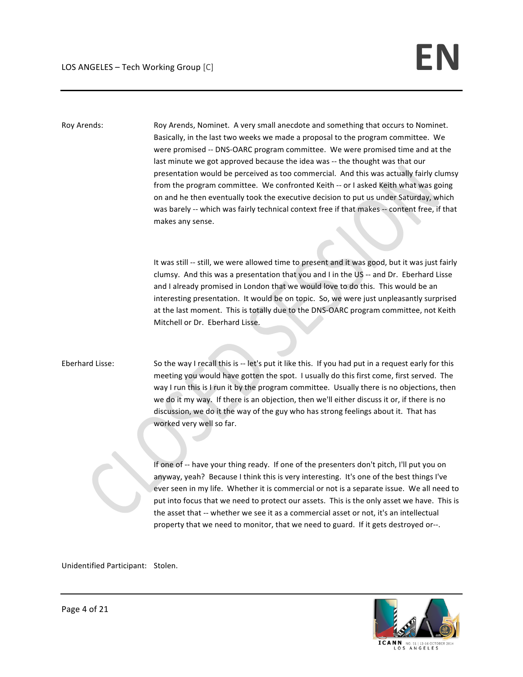Roy Arends: Roy Arends, Nominet. A very small anecdote and something that occurs to Nominet. Basically, in the last two weeks we made a proposal to the program committee. We were promised -- DNS-OARC program committee. We were promised time and at the last minute we got approved because the idea was -- the thought was that our presentation would be perceived as too commercial. And this was actually fairly clumsy from the program committee. We confronted Keith -- or I asked Keith what was going on and he then eventually took the executive decision to put us under Saturday, which was barely -- which was fairly technical context free if that makes -- content free, if that makes any sense.

> It was still -- still, we were allowed time to present and it was good, but it was just fairly clumsy. And this was a presentation that you and I in the US -- and Dr. Eberhard Lisse and I already promised in London that we would love to do this. This would be an interesting presentation. It would be on topic. So, we were just unpleasantly surprised at the last moment. This is totally due to the DNS-OARC program committee, not Keith Mitchell or Dr. Eberhard Lisse.

Eberhard Lisse: So the way I recall this is -- let's put it like this. If you had put in a request early for this meeting you would have gotten the spot. I usually do this first come, first served. The way I run this is I run it by the program committee. Usually there is no objections, then we do it my way. If there is an objection, then we'll either discuss it or, if there is no discussion, we do it the way of the guy who has strong feelings about it. That has worked very well so far.

> If one of -- have your thing ready. If one of the presenters don't pitch, I'll put you on anyway, yeah? Because I think this is very interesting. It's one of the best things I've ever seen in my life. Whether it is commercial or not is a separate issue. We all need to put into focus that we need to protect our assets. This is the only asset we have. This is the asset that -- whether we see it as a commercial asset or not, it's an intellectual property that we need to monitor, that we need to guard. If it gets destroyed or--.

Unidentified Participant: Stolen.



LOS ANGELES

Page 4 of 21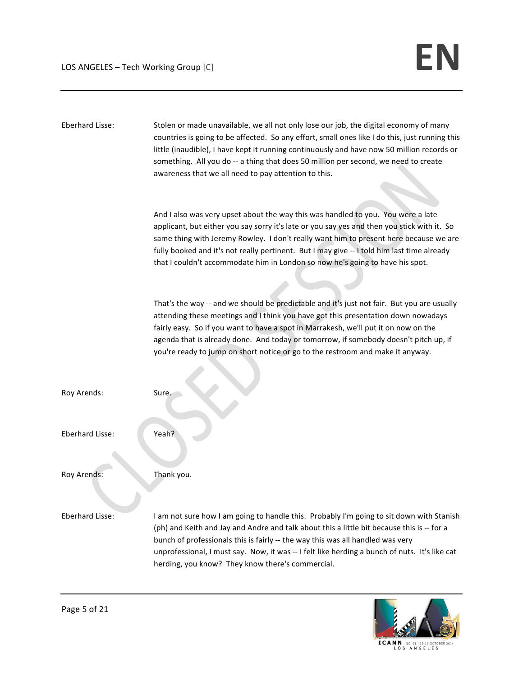| Eberhard Lisse:        | Stolen or made unavailable, we all not only lose our job, the digital economy of many<br>countries is going to be affected. So any effort, small ones like I do this, just running this<br>little (inaudible), I have kept it running continuously and have now 50 million records or<br>something. All you do -- a thing that does 50 million per second, we need to create<br>awareness that we all need to pay attention to this.                    |
|------------------------|---------------------------------------------------------------------------------------------------------------------------------------------------------------------------------------------------------------------------------------------------------------------------------------------------------------------------------------------------------------------------------------------------------------------------------------------------------|
|                        | And I also was very upset about the way this was handled to you. You were a late<br>applicant, but either you say sorry it's late or you say yes and then you stick with it. So<br>same thing with Jeremy Rowley. I don't really want him to present here because we are<br>fully booked and it's not really pertinent. But I may give -- I told him last time already<br>that I couldn't accommodate him in London so now he's going to have his spot. |
|                        | That's the way -- and we should be predictable and it's just not fair. But you are usually<br>attending these meetings and I think you have got this presentation down nowadays<br>fairly easy. So if you want to have a spot in Marrakesh, we'll put it on now on the<br>agenda that is already done. And today or tomorrow, if somebody doesn't pitch up, if<br>you're ready to jump on short notice or go to the restroom and make it anyway.        |
| Roy Arends:            | Sure.                                                                                                                                                                                                                                                                                                                                                                                                                                                   |
| <b>Eberhard Lisse:</b> | Yeah?                                                                                                                                                                                                                                                                                                                                                                                                                                                   |
| Roy Arends:            | Thank you.                                                                                                                                                                                                                                                                                                                                                                                                                                              |
| Eberhard Lisse:        | I am not sure how I am going to handle this. Probably I'm going to sit down with Stanish<br>(ph) and Keith and Jay and Andre and talk about this a little bit because this is -- for a<br>bunch of professionals this is fairly -- the way this was all handled was very<br>unprofessional, I must say. Now, it was -- I felt like herding a bunch of nuts. It's like cat<br>herding, you know? They know there's commercial.                           |



ICANN NO. S1 | 12-16 OCTOBER 2014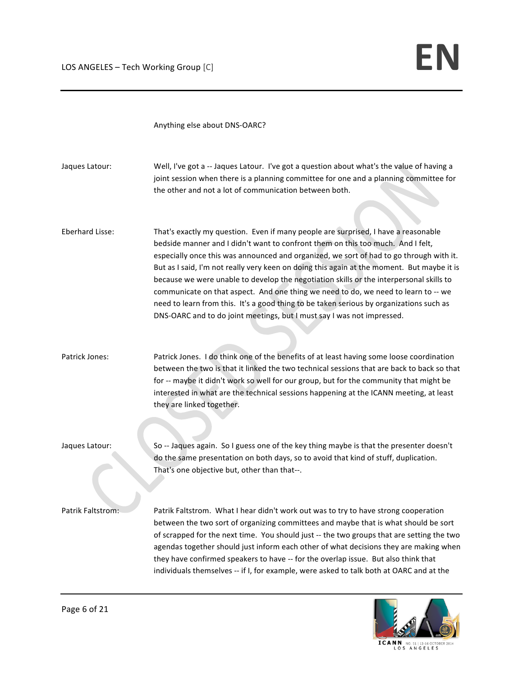Anything else about DNS-OARC?

| Jaques Latour:           | Well, I've got a -- Jaques Latour. I've got a question about what's the value of having a<br>joint session when there is a planning committee for one and a planning committee for<br>the other and not a lot of communication between both.                                                                                                                                                                                                                                                                                                                                                                                                                                                                         |
|--------------------------|----------------------------------------------------------------------------------------------------------------------------------------------------------------------------------------------------------------------------------------------------------------------------------------------------------------------------------------------------------------------------------------------------------------------------------------------------------------------------------------------------------------------------------------------------------------------------------------------------------------------------------------------------------------------------------------------------------------------|
| Eberhard Lisse:          | That's exactly my question. Even if many people are surprised, I have a reasonable<br>bedside manner and I didn't want to confront them on this too much. And I felt,<br>especially once this was announced and organized, we sort of had to go through with it.<br>But as I said, I'm not really very keen on doing this again at the moment. But maybe it is<br>because we were unable to develop the negotiation skills or the interpersonal skills to<br>communicate on that aspect. And one thing we need to do, we need to learn to -- we<br>need to learn from this. It's a good thing to be taken serious by organizations such as<br>DNS-OARC and to do joint meetings, but I must say I was not impressed. |
| Patrick Jones:           | Patrick Jones. I do think one of the benefits of at least having some loose coordination<br>between the two is that it linked the two technical sessions that are back to back so that<br>for -- maybe it didn't work so well for our group, but for the community that might be<br>interested in what are the technical sessions happening at the ICANN meeting, at least<br>they are linked together.                                                                                                                                                                                                                                                                                                              |
| Jaques Latour:           | So -- Jaques again. So I guess one of the key thing maybe is that the presenter doesn't<br>do the same presentation on both days, so to avoid that kind of stuff, duplication.<br>That's one objective but, other than that--.                                                                                                                                                                                                                                                                                                                                                                                                                                                                                       |
| <b>Patrik Faltstrom:</b> | Patrik Faltstrom. What I hear didn't work out was to try to have strong cooperation<br>between the two sort of organizing committees and maybe that is what should be sort<br>of scrapped for the next time. You should just -- the two groups that are setting the two<br>agendas together should just inform each other of what decisions they are making when<br>they have confirmed speakers to have -- for the overlap issue. But also think that<br>individuals themselves -- if I, for example, were asked to talk both at OARC and at the                                                                                                                                                                    |



ICANN NO. S1 | 12-16 OCTOBER 2014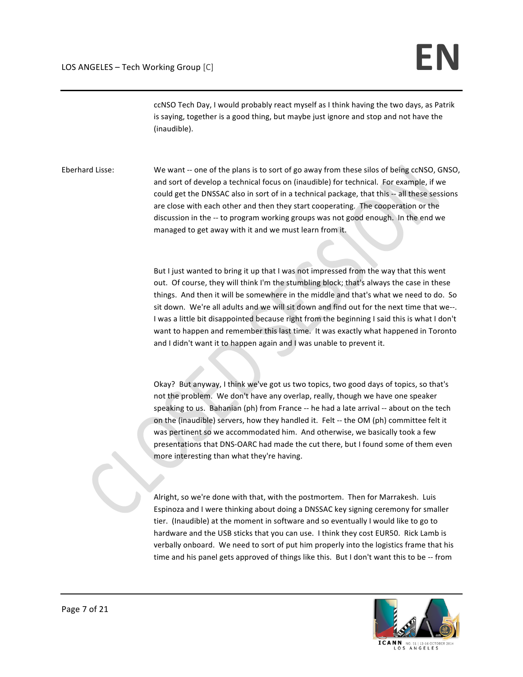ccNSO Tech Day, I would probably react myself as I think having the two days, as Patrik is saying, together is a good thing, but maybe just ignore and stop and not have the (inaudible). 

Eberhard Lisse: We want -- one of the plans is to sort of go away from these silos of being ccNSO, GNSO, and sort of develop a technical focus on (inaudible) for technical. For example, if we could get the DNSSAC also in sort of in a technical package, that this -- all these sessions are close with each other and then they start cooperating. The cooperation or the discussion in the -- to program working groups was not good enough. In the end we managed to get away with it and we must learn from it.

> But I just wanted to bring it up that I was not impressed from the way that this went out. Of course, they will think I'm the stumbling block; that's always the case in these things. And then it will be somewhere in the middle and that's what we need to do. So sit down. We're all adults and we will sit down and find out for the next time that we--. I was a little bit disappointed because right from the beginning I said this is what I don't want to happen and remember this last time. It was exactly what happened in Toronto and I didn't want it to happen again and I was unable to prevent it.

Okay? But anyway, I think we've got us two topics, two good days of topics, so that's not the problem. We don't have any overlap, really, though we have one speaker speaking to us. Bahanian (ph) from France -- he had a late arrival -- about on the tech on the (inaudible) servers, how they handled it. Felt -- the OM (ph) committee felt it was pertinent so we accommodated him. And otherwise, we basically took a few presentations that DNS-OARC had made the cut there, but I found some of them even more interesting than what they're having.

Alright, so we're done with that, with the postmortem. Then for Marrakesh. Luis Espinoza and I were thinking about doing a DNSSAC key signing ceremony for smaller tier. (Inaudible) at the moment in software and so eventually I would like to go to hardware and the USB sticks that you can use. I think they cost EUR50. Rick Lamb is verbally onboard. We need to sort of put him properly into the logistics frame that his time and his panel gets approved of things like this. But I don't want this to be  $-$  from



**ICANN** LOS ANGELES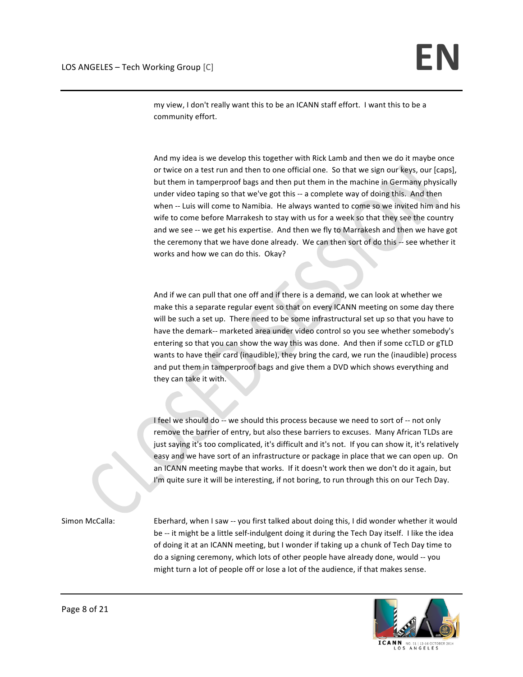my view, I don't really want this to be an ICANN staff effort. I want this to be a community effort.

And my idea is we develop this together with Rick Lamb and then we do it maybe once or twice on a test run and then to one official one. So that we sign our keys, our [caps], but them in tamperproof bags and then put them in the machine in Germany physically under video taping so that we've got this -- a complete way of doing this. And then when -- Luis will come to Namibia. He always wanted to come so we invited him and his wife to come before Marrakesh to stay with us for a week so that they see the country and we see -- we get his expertise. And then we fly to Marrakesh and then we have got the ceremony that we have done already. We can then sort of do this -- see whether it works and how we can do this. Okay?

And if we can pull that one off and if there is a demand, we can look at whether we make this a separate regular event so that on every ICANN meeting on some day there will be such a set up. There need to be some infrastructural set up so that you have to have the demark-- marketed area under video control so you see whether somebody's entering so that you can show the way this was done. And then if some ccTLD or gTLD wants to have their card (inaudible), they bring the card, we run the (inaudible) process and put them in tamperproof bags and give them a DVD which shows everything and they can take it with.

I feel we should do -- we should this process because we need to sort of -- not only remove the barrier of entry, but also these barriers to excuses. Many African TLDs are just saying it's too complicated, it's difficult and it's not. If you can show it, it's relatively easy and we have sort of an infrastructure or package in place that we can open up. On an ICANN meeting maybe that works. If it doesn't work then we don't do it again, but I'm quite sure it will be interesting, if not boring, to run through this on our Tech Day.

Simon McCalla: Eberhard, when I saw -- you first talked about doing this, I did wonder whether it would be -- it might be a little self-indulgent doing it during the Tech Day itself. I like the idea of doing it at an ICANN meeting, but I wonder if taking up a chunk of Tech Day time to do a signing ceremony, which lots of other people have already done, would -- you might turn a lot of people off or lose a lot of the audience, if that makes sense.



**ICANN** LOS ANGELES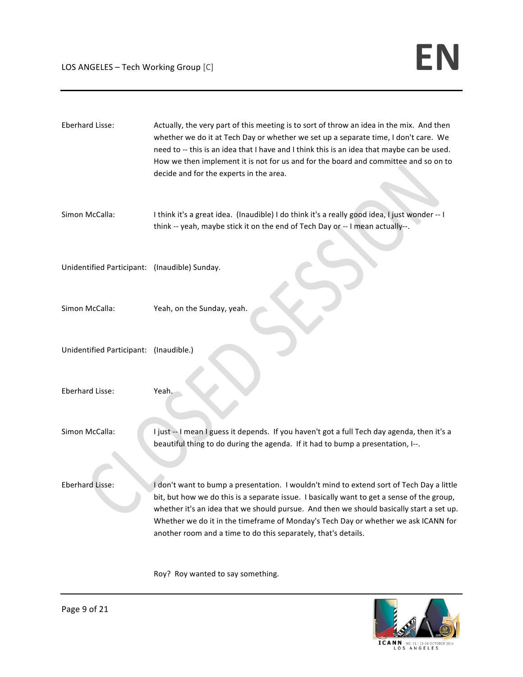| Eberhard Lisse:                               | Actually, the very part of this meeting is to sort of throw an idea in the mix. And then<br>whether we do it at Tech Day or whether we set up a separate time, I don't care. We<br>need to -- this is an idea that I have and I think this is an idea that maybe can be used.<br>How we then implement it is not for us and for the board and committee and so on to<br>decide and for the experts in the area.                            |
|-----------------------------------------------|--------------------------------------------------------------------------------------------------------------------------------------------------------------------------------------------------------------------------------------------------------------------------------------------------------------------------------------------------------------------------------------------------------------------------------------------|
| Simon McCalla:                                | I think it's a great idea. (Inaudible) I do think it's a really good idea, I just wonder -- I<br>think -- yeah, maybe stick it on the end of Tech Day or -- I mean actually--.                                                                                                                                                                                                                                                             |
| Unidentified Participant: (Inaudible) Sunday. |                                                                                                                                                                                                                                                                                                                                                                                                                                            |
| Simon McCalla:                                | Yeah, on the Sunday, yeah.                                                                                                                                                                                                                                                                                                                                                                                                                 |
| Unidentified Participant: (Inaudible.)        |                                                                                                                                                                                                                                                                                                                                                                                                                                            |
| Eberhard Lisse:                               | Yeah.                                                                                                                                                                                                                                                                                                                                                                                                                                      |
| Simon McCalla:                                | I just -- I mean I guess it depends. If you haven't got a full Tech day agenda, then it's a<br>beautiful thing to do during the agenda. If it had to bump a presentation, I--.                                                                                                                                                                                                                                                             |
| <b>Eberhard Lisse:</b>                        | I don't want to bump a presentation. I wouldn't mind to extend sort of Tech Day a little<br>bit, but how we do this is a separate issue. I basically want to get a sense of the group,<br>whether it's an idea that we should pursue. And then we should basically start a set up.<br>Whether we do it in the timeframe of Monday's Tech Day or whether we ask ICANN for<br>another room and a time to do this separately, that's details. |
|                                               | Roy? Roy wanted to say something.                                                                                                                                                                                                                                                                                                                                                                                                          |

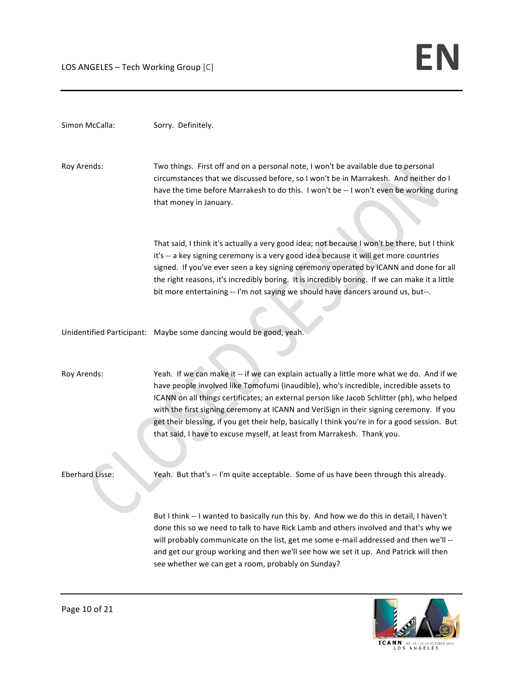| Simon McCalla:         | Sorry. Definitely.                                                                                                                                                                                                                                                                                                                                                                                                                                                                                                                                        |
|------------------------|-----------------------------------------------------------------------------------------------------------------------------------------------------------------------------------------------------------------------------------------------------------------------------------------------------------------------------------------------------------------------------------------------------------------------------------------------------------------------------------------------------------------------------------------------------------|
| Roy Arends:            | Two things. First off and on a personal note, I won't be available due to personal<br>circumstances that we discussed before, so I won't be in Marrakesh. And neither do I<br>have the time before Marrakesh to do this. I won't be -- I won't even be working during<br>that money in January.                                                                                                                                                                                                                                                           |
|                        | That said, I think it's actually a very good idea; not because I won't be there, but I think<br>it's -- a key signing ceremony is a very good idea because it will get more countries<br>signed. If you've ever seen a key signing ceremony operated by ICANN and done for all<br>the right reasons, it's incredibly boring. It is incredibly boring. If we can make it a little<br>bit more entertaining -- I'm not saying we should have dancers around us, but--.                                                                                      |
|                        | Unidentified Participant: Maybe some dancing would be good, yeah.                                                                                                                                                                                                                                                                                                                                                                                                                                                                                         |
| Roy Arends:            | Yeah. If we can make it -- if we can explain actually a little more what we do. And if we<br>have people involved like Tomofumi (inaudible), who's incredible, incredible assets to<br>ICANN on all things certificates; an external person like Jacob Schlitter (ph), who helped<br>with the first signing ceremony at ICANN and VeriSign in their signing ceremony. If you<br>get their blessing, if you get their help, basically I think you're in for a good session. But<br>that said, I have to excuse myself, at least from Marrakesh. Thank you. |
| <b>Eberhard Lisse:</b> | Yeah. But that's -- I'm quite acceptable. Some of us have been through this already.                                                                                                                                                                                                                                                                                                                                                                                                                                                                      |
|                        | But I think -- I wanted to basically run this by. And how we do this in detail, I haven't<br>done this so we need to talk to have Rick Lamb and others involved and that's why we<br>will probably communicate on the list, get me some e-mail addressed and then we'll --<br>and get our group working and then we'll see how we set it up. And Patrick will then<br>see whether we can get a room, probably on Sunday?                                                                                                                                  |

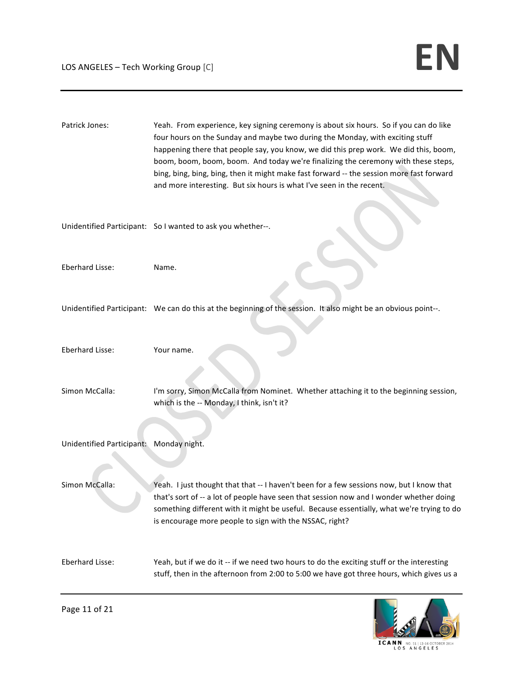| Patrick Jones:                          | Yeah. From experience, key signing ceremony is about six hours. So if you can do like<br>four hours on the Sunday and maybe two during the Monday, with exciting stuff<br>happening there that people say, you know, we did this prep work. We did this, boom,<br>boom, boom, boom, boom. And today we're finalizing the ceremony with these steps,<br>bing, bing, bing, bing, then it might make fast forward -- the session more fast forward<br>and more interesting. But six hours is what I've seen in the recent. |
|-----------------------------------------|-------------------------------------------------------------------------------------------------------------------------------------------------------------------------------------------------------------------------------------------------------------------------------------------------------------------------------------------------------------------------------------------------------------------------------------------------------------------------------------------------------------------------|
|                                         | Unidentified Participant: So I wanted to ask you whether--.                                                                                                                                                                                                                                                                                                                                                                                                                                                             |
| Eberhard Lisse:                         | Name.                                                                                                                                                                                                                                                                                                                                                                                                                                                                                                                   |
|                                         | Unidentified Participant: We can do this at the beginning of the session. It also might be an obvious point--.                                                                                                                                                                                                                                                                                                                                                                                                          |
| Eberhard Lisse:                         | Your name.                                                                                                                                                                                                                                                                                                                                                                                                                                                                                                              |
| Simon McCalla:                          | I'm sorry, Simon McCalla from Nominet. Whether attaching it to the beginning session,<br>which is the -- Monday, I think, isn't it?                                                                                                                                                                                                                                                                                                                                                                                     |
| Unidentified Participant: Monday night. |                                                                                                                                                                                                                                                                                                                                                                                                                                                                                                                         |
| Simon McCalla:                          | Yeah. I just thought that that -- I haven't been for a few sessions now, but I know that<br>that's sort of -- a lot of people have seen that session now and I wonder whether doing<br>something different with it might be useful. Because essentially, what we're trying to do<br>is encourage more people to sign with the NSSAC, right?                                                                                                                                                                             |
| Eberhard Lisse:                         | Yeah, but if we do it -- if we need two hours to do the exciting stuff or the interesting<br>stuff, then in the afternoon from 2:00 to 5:00 we have got three hours, which gives us a                                                                                                                                                                                                                                                                                                                                   |



Page 11 of 21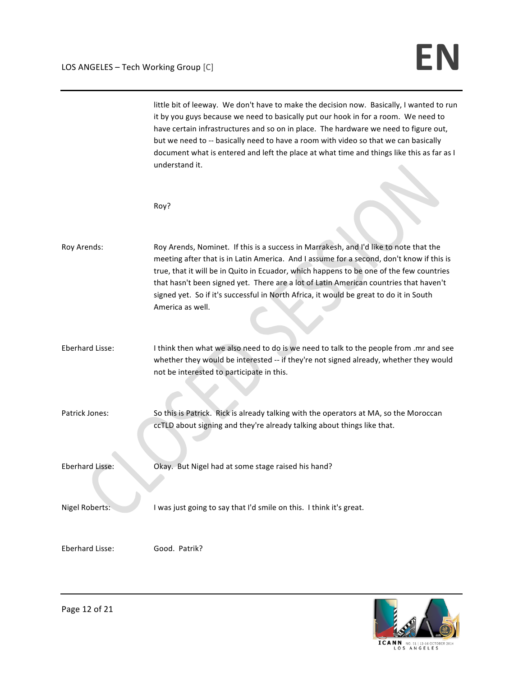little bit of leeway. We don't have to make the decision now. Basically, I wanted to run it by you guys because we need to basically put our hook in for a room. We need to have certain infrastructures and so on in place. The hardware we need to figure out, but we need to -- basically need to have a room with video so that we can basically document what is entered and left the place at what time and things like this as far as I understand it. Roy? Roy Arends: Roy Arends, Nominet. If this is a success in Marrakesh, and I'd like to note that the meeting after that is in Latin America. And I assume for a second, don't know if this is true, that it will be in Quito in Ecuador, which happens to be one of the few countries that hasn't been signed yet. There are a lot of Latin American countries that haven't signed yet. So if it's successful in North Africa, it would be great to do it in South America as well. Eberhard Lisse: I think then what we also need to do is we need to talk to the people from .mr and see whether they would be interested -- if they're not signed already, whether they would not be interested to participate in this. Patrick Jones: So this is Patrick. Rick is already talking with the operators at MA, so the Moroccan ccTLD about signing and they're already talking about things like that. Eberhard Lisse: Okay. But Nigel had at some stage raised his hand? Nigel Roberts: I was just going to say that I'd smile on this. I think it's great. Eberhard Lisse: Good. Patrik?

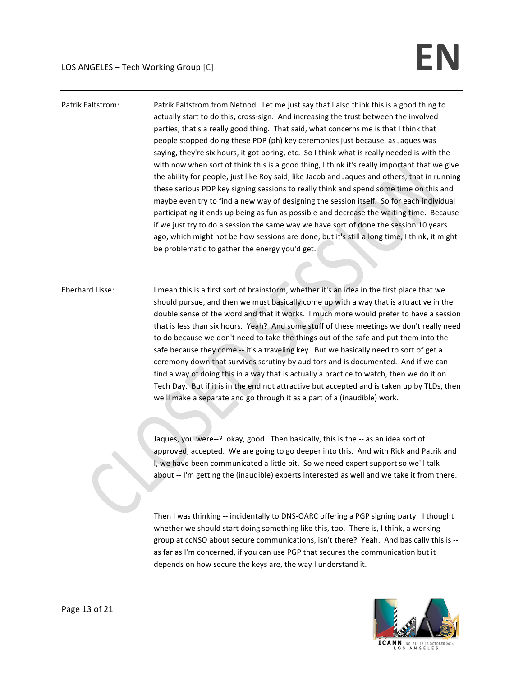## Patrik Faltstrom: Patrik Faltstrom from Netnod. Let me just say that I also think this is a good thing to actually start to do this, cross-sign. And increasing the trust between the involved parties, that's a really good thing. That said, what concerns me is that I think that people stopped doing these PDP (ph) key ceremonies just because, as Jaques was saying, they're six hours, it got boring, etc. So I think what is really needed is with the -with now when sort of think this is a good thing, I think it's really important that we give the ability for people, just like Roy said, like Jacob and Jaques and others, that in running these serious PDP key signing sessions to really think and spend some time on this and maybe even try to find a new way of designing the session itself. So for each individual participating it ends up being as fun as possible and decrease the waiting time. Because if we just try to do a session the same way we have sort of done the session 10 years ago, which might not be how sessions are done, but it's still a long time, I think, it might be problematic to gather the energy you'd get.

Eberhard Lisse: I mean this is a first sort of brainstorm, whether it's an idea in the first place that we should pursue, and then we must basically come up with a way that is attractive in the double sense of the word and that it works. I much more would prefer to have a session that is less than six hours. Yeah? And some stuff of these meetings we don't really need to do because we don't need to take the things out of the safe and put them into the safe because they come -- it's a traveling key. But we basically need to sort of get a ceremony down that survives scrutiny by auditors and is documented. And if we can find a way of doing this in a way that is actually a practice to watch, then we do it on Tech Day. But if it is in the end not attractive but accepted and is taken up by TLDs, then we'll make a separate and go through it as a part of a (inaudible) work.

> Jaques, you were--? okay, good. Then basically, this is the -- as an idea sort of approved, accepted. We are going to go deeper into this. And with Rick and Patrik and I, we have been communicated a little bit. So we need expert support so we'll talk about -- I'm getting the (inaudible) experts interested as well and we take it from there.

> Then I was thinking -- incidentally to DNS-OARC offering a PGP signing party. I thought whether we should start doing something like this, too. There is, I think, a working group at ccNSO about secure communications, isn't there? Yeah. And basically this is -as far as I'm concerned, if you can use PGP that secures the communication but it depends on how secure the keys are, the way I understand it.

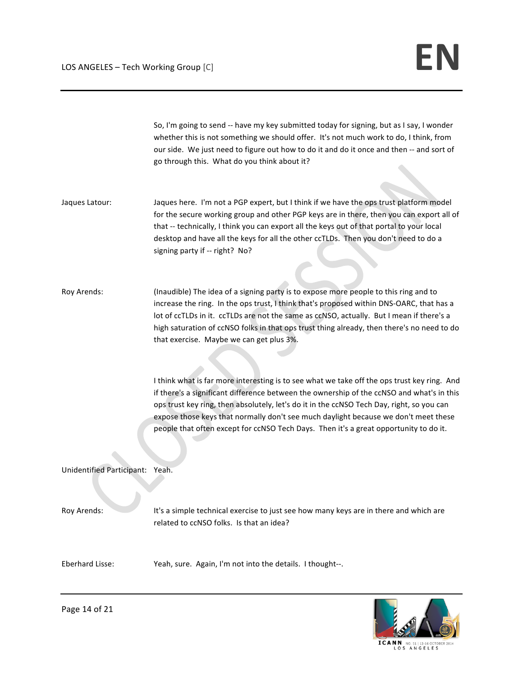So, I'm going to send -- have my key submitted today for signing, but as I say, I wonder whether this is not something we should offer. It's not much work to do, I think, from our side. We just need to figure out how to do it and do it once and then -- and sort of go through this. What do you think about it?

Jaques Latour: Jaques here. I'm not a PGP expert, but I think if we have the ops trust platform model for the secure working group and other PGP keys are in there, then you can export all of that -- technically, I think you can export all the keys out of that portal to your local desktop and have all the keys for all the other ccTLDs. Then you don't need to do a signing party if -- right? No?

Roy Arends: (Inaudible) The idea of a signing party is to expose more people to this ring and to increase the ring. In the ops trust, I think that's proposed within DNS-OARC, that has a lot of ccTLDs in it. ccTLDs are not the same as ccNSO, actually. But I mean if there's a high saturation of ccNSO folks in that ops trust thing already, then there's no need to do that exercise. Maybe we can get plus 3%.

> I think what is far more interesting is to see what we take off the ops trust key ring. And if there's a significant difference between the ownership of the ccNSO and what's in this ops trust key ring, then absolutely, let's do it in the ccNSO Tech Day, right, so you can expose those keys that normally don't see much daylight because we don't meet these people that often except for ccNSO Tech Days. Then it's a great opportunity to do it.

Unidentified Participant: Yeah. 

Roy Arends: It's a simple technical exercise to just see how many keys are in there and which are related to ccNSO folks. Is that an idea?

Eberhard Lisse: Yeah, sure. Again, I'm not into the details. I thought--.



Page 14 of 21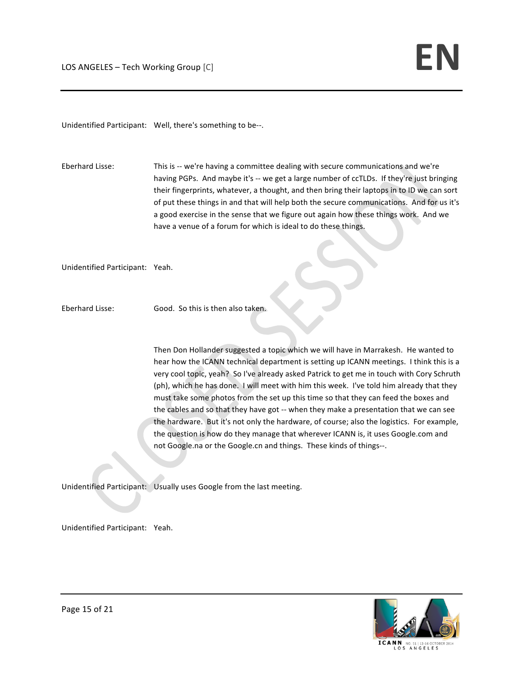Unidentified Participant: Well, there's something to be--.

Eberhard Lisse: This is -- we're having a committee dealing with secure communications and we're having PGPs. And maybe it's -- we get a large number of ccTLDs. If they're just bringing their fingerprints, whatever, a thought, and then bring their laptops in to ID we can sort of put these things in and that will help both the secure communications. And for us it's a good exercise in the sense that we figure out again how these things work. And we have a venue of a forum for which is ideal to do these things.

Unidentified Participant: Yeah. 

Eberhard Lisse: Good. So this is then also taken.

Then Don Hollander suggested a topic which we will have in Marrakesh. He wanted to hear how the ICANN technical department is setting up ICANN meetings. I think this is a very cool topic, yeah? So I've already asked Patrick to get me in touch with Cory Schruth (ph), which he has done. I will meet with him this week. I've told him already that they must take some photos from the set up this time so that they can feed the boxes and the cables and so that they have got -- when they make a presentation that we can see the hardware. But it's not only the hardware, of course; also the logistics. For example, the question is how do they manage that wherever ICANN is, it uses Google.com and not Google.na or the Google.cn and things. These kinds of things--.

Unidentified Participant: Usually uses Google from the last meeting.

Unidentified Participant: Yeah. 



**ICANN NIN** NO. 51 | 12-16 OCTO<br>LOS ANGELES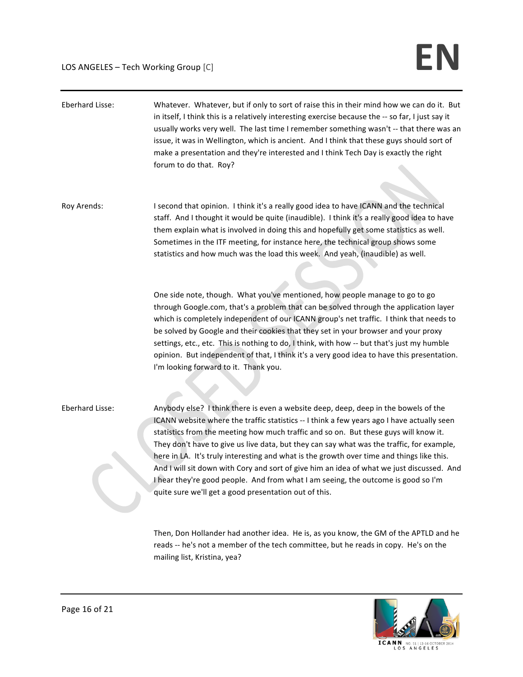| Eberhard Lisse: | Whatever. Whatever, but if only to sort of raise this in their mind how we can do it. But<br>in itself, I think this is a relatively interesting exercise because the -- so far, I just say it<br>usually works very well. The last time I remember something wasn't -- that there was an<br>issue, it was in Wellington, which is ancient. And I think that these guys should sort of<br>make a presentation and they're interested and I think Tech Day is exactly the right<br>forum to do that. Roy?                                                                                                                                                                                                       |
|-----------------|----------------------------------------------------------------------------------------------------------------------------------------------------------------------------------------------------------------------------------------------------------------------------------------------------------------------------------------------------------------------------------------------------------------------------------------------------------------------------------------------------------------------------------------------------------------------------------------------------------------------------------------------------------------------------------------------------------------|
| Roy Arends:     | I second that opinion. I think it's a really good idea to have ICANN and the technical<br>staff. And I thought it would be quite (inaudible). I think it's a really good idea to have<br>them explain what is involved in doing this and hopefully get some statistics as well.<br>Sometimes in the ITF meeting, for instance here, the technical group shows some<br>statistics and how much was the load this week. And yeah, (inaudible) as well.                                                                                                                                                                                                                                                           |
|                 | One side note, though. What you've mentioned, how people manage to go to go<br>through Google.com, that's a problem that can be solved through the application layer<br>which is completely independent of our ICANN group's net traffic. I think that needs to<br>be solved by Google and their cookies that they set in your browser and your proxy<br>settings, etc., etc. This is nothing to do, I think, with how -- but that's just my humble<br>opinion. But independent of that, I think it's a very good idea to have this presentation.<br>I'm looking forward to it. Thank you.                                                                                                                     |
| Eberhard Lisse: | Anybody else? I think there is even a website deep, deep, deep in the bowels of the<br>ICANN website where the traffic statistics -- I think a few years ago I have actually seen<br>statistics from the meeting how much traffic and so on. But these guys will know it.<br>They don't have to give us live data, but they can say what was the traffic, for example,<br>here in LA. It's truly interesting and what is the growth over time and things like this.<br>And I will sit down with Cory and sort of give him an idea of what we just discussed. And<br>I hear they're good people. And from what I am seeing, the outcome is good so I'm<br>quite sure we'll get a good presentation out of this. |
|                 | Then, Don Hollander had another idea. He is, as you know, the GM of the APTLD and he<br>reads -- he's not a member of the tech committee, but he reads in copy. He's on the                                                                                                                                                                                                                                                                                                                                                                                                                                                                                                                                    |

mailing list, Kristina, yea?

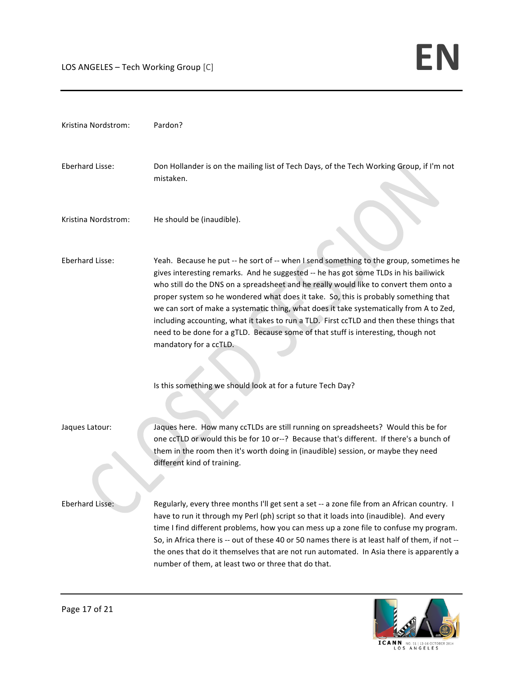| Kristina Nordstrom:    | Pardon?                                                                                                                                                                                                                                                                                                                                                                                                                                                                                                                                                                                                                                                                                                                            |
|------------------------|------------------------------------------------------------------------------------------------------------------------------------------------------------------------------------------------------------------------------------------------------------------------------------------------------------------------------------------------------------------------------------------------------------------------------------------------------------------------------------------------------------------------------------------------------------------------------------------------------------------------------------------------------------------------------------------------------------------------------------|
| Eberhard Lisse:        | Don Hollander is on the mailing list of Tech Days, of the Tech Working Group, if I'm not<br>mistaken.                                                                                                                                                                                                                                                                                                                                                                                                                                                                                                                                                                                                                              |
| Kristina Nordstrom:    | He should be (inaudible).                                                                                                                                                                                                                                                                                                                                                                                                                                                                                                                                                                                                                                                                                                          |
| <b>Eberhard Lisse:</b> | Yeah. Because he put -- he sort of -- when I send something to the group, sometimes he<br>gives interesting remarks. And he suggested -- he has got some TLDs in his bailiwick<br>who still do the DNS on a spreadsheet and he really would like to convert them onto a<br>proper system so he wondered what does it take. So, this is probably something that<br>we can sort of make a systematic thing, what does it take systematically from A to Zed,<br>including accounting, what it takes to run a TLD. First ccTLD and then these things that<br>need to be done for a gTLD. Because some of that stuff is interesting, though not<br>mandatory for a ccTLD.<br>Is this something we should look at for a future Tech Day? |
| Jaques Latour:         | Jaques here. How many ccTLDs are still running on spreadsheets? Would this be for<br>one ccTLD or would this be for 10 or--? Because that's different. If there's a bunch of<br>them in the room then it's worth doing in (inaudible) session, or maybe they need<br>different kind of training.                                                                                                                                                                                                                                                                                                                                                                                                                                   |
| Eberhard Lisse:        | Regularly, every three months I'll get sent a set -- a zone file from an African country. I<br>have to run it through my Perl (ph) script so that it loads into (inaudible). And every<br>time I find different problems, how you can mess up a zone file to confuse my program.<br>So, in Africa there is -- out of these 40 or 50 names there is at least half of them, if not --<br>the ones that do it themselves that are not run automated. In Asia there is apparently a<br>number of them, at least two or three that do that.                                                                                                                                                                                             |

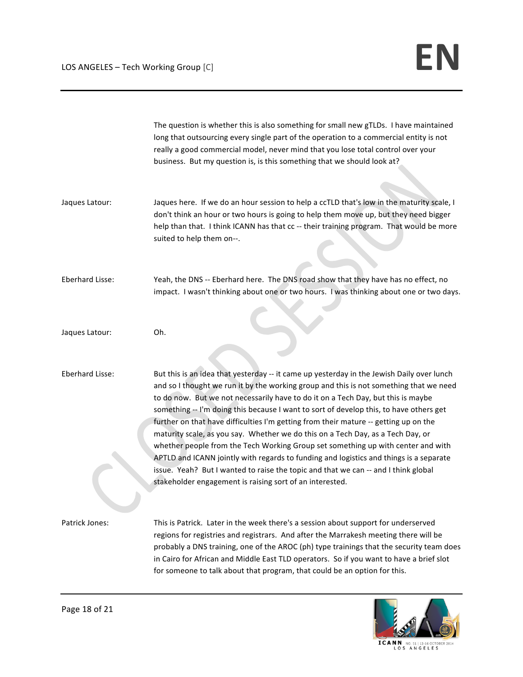|                 | The question is whether this is also something for small new gTLDs. I have maintained<br>long that outsourcing every single part of the operation to a commercial entity is not<br>really a good commercial model, never mind that you lose total control over your<br>business. But my question is, is this something that we should look at?                                                                                                                                                                                                                                                                                                                                                                                                                                                                                                                               |
|-----------------|------------------------------------------------------------------------------------------------------------------------------------------------------------------------------------------------------------------------------------------------------------------------------------------------------------------------------------------------------------------------------------------------------------------------------------------------------------------------------------------------------------------------------------------------------------------------------------------------------------------------------------------------------------------------------------------------------------------------------------------------------------------------------------------------------------------------------------------------------------------------------|
| Jaques Latour:  | Jaques here. If we do an hour session to help a ccTLD that's low in the maturity scale, I<br>don't think an hour or two hours is going to help them move up, but they need bigger<br>help than that. I think ICANN has that cc -- their training program. That would be more<br>suited to help them on--.                                                                                                                                                                                                                                                                                                                                                                                                                                                                                                                                                                    |
| Eberhard Lisse: | Yeah, the DNS -- Eberhard here. The DNS road show that they have has no effect, no<br>impact. I wasn't thinking about one or two hours. I was thinking about one or two days.                                                                                                                                                                                                                                                                                                                                                                                                                                                                                                                                                                                                                                                                                                |
| Jaques Latour:  | Oh.                                                                                                                                                                                                                                                                                                                                                                                                                                                                                                                                                                                                                                                                                                                                                                                                                                                                          |
| Eberhard Lisse: | But this is an idea that yesterday -- it came up yesterday in the Jewish Daily over lunch<br>and so I thought we run it by the working group and this is not something that we need<br>to do now. But we not necessarily have to do it on a Tech Day, but this is maybe<br>something -- I'm doing this because I want to sort of develop this, to have others get<br>further on that have difficulties I'm getting from their mature -- getting up on the<br>maturity scale, as you say. Whether we do this on a Tech Day, as a Tech Day, or<br>whether people from the Tech Working Group set something up with center and with<br>APTLD and ICANN jointly with regards to funding and logistics and things is a separate<br>issue. Yeah? But I wanted to raise the topic and that we can -- and I think global<br>stakeholder engagement is raising sort of an interested. |
| Patrick Jones:  | This is Patrick. Later in the week there's a session about support for underserved<br>regions for registries and registrars. And after the Marrakesh meeting there will be<br>probably a DNS training, one of the AROC (ph) type trainings that the security team does<br>in Cairo for African and Middle East TLD operators. So if you want to have a brief slot<br>for someone to talk about that program, that could be an option for this.                                                                                                                                                                                                                                                                                                                                                                                                                               |

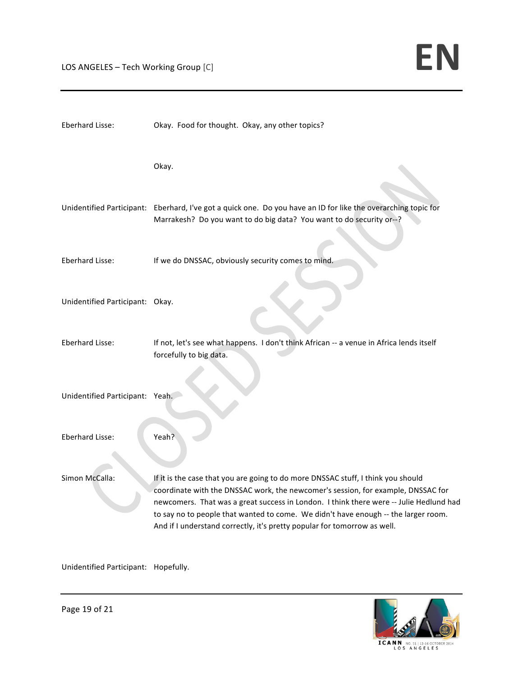| Eberhard Lisse:                 | Okay. Food for thought. Okay, any other topics?                                                                                                                                                                                                                                                                                                                                                                                  |
|---------------------------------|----------------------------------------------------------------------------------------------------------------------------------------------------------------------------------------------------------------------------------------------------------------------------------------------------------------------------------------------------------------------------------------------------------------------------------|
|                                 | Okay.                                                                                                                                                                                                                                                                                                                                                                                                                            |
|                                 | Unidentified Participant: Eberhard, I've got a quick one. Do you have an ID for like the overarching topic for<br>Marrakesh? Do you want to do big data? You want to do security or--?                                                                                                                                                                                                                                           |
| Eberhard Lisse:                 | If we do DNSSAC, obviously security comes to mind.                                                                                                                                                                                                                                                                                                                                                                               |
| Unidentified Participant: Okay. |                                                                                                                                                                                                                                                                                                                                                                                                                                  |
| Eberhard Lisse:                 | If not, let's see what happens. I don't think African -- a venue in Africa lends itself<br>forcefully to big data.                                                                                                                                                                                                                                                                                                               |
| Unidentified Participant: Yeah. |                                                                                                                                                                                                                                                                                                                                                                                                                                  |
| Eberhard Lisse:                 | Yeah?                                                                                                                                                                                                                                                                                                                                                                                                                            |
| Simon McCalla:                  | If it is the case that you are going to do more DNSSAC stuff, I think you should<br>coordinate with the DNSSAC work, the newcomer's session, for example, DNSSAC for<br>newcomers. That was a great success in London. I think there were -- Julie Hedlund had<br>to say no to people that wanted to come. We didn't have enough -- the larger room.<br>And if I understand correctly, it's pretty popular for tomorrow as well. |

Unidentified Participant: Hopefully. 



ICANN NO. 51 | 12-16 OCTOBER 2014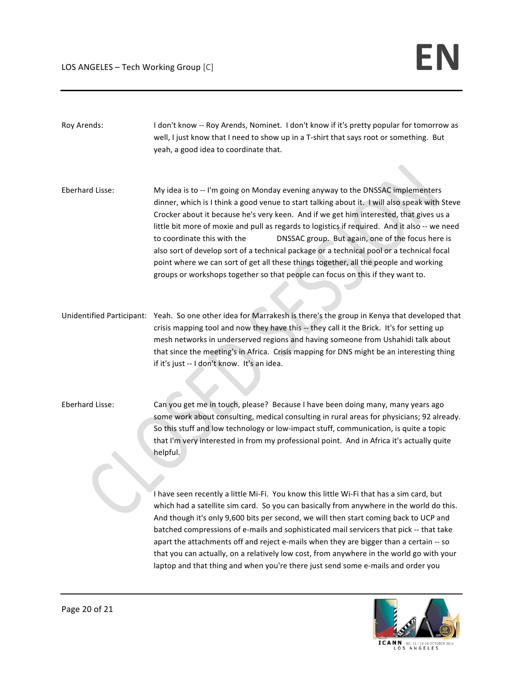| Roy Arends:     | I don't know -- Roy Arends, Nominet. I don't know if it's pretty popular for tomorrow as<br>well, I just know that I need to show up in a T-shirt that says root or something. But<br>yeah, a good idea to coordinate that.                                                                                                                                                                                                                                                                                                                                                                                                                                                                                                           |
|-----------------|---------------------------------------------------------------------------------------------------------------------------------------------------------------------------------------------------------------------------------------------------------------------------------------------------------------------------------------------------------------------------------------------------------------------------------------------------------------------------------------------------------------------------------------------------------------------------------------------------------------------------------------------------------------------------------------------------------------------------------------|
|                 |                                                                                                                                                                                                                                                                                                                                                                                                                                                                                                                                                                                                                                                                                                                                       |
| Eberhard Lisse: | My idea is to -- I'm going on Monday evening anyway to the DNSSAC implementers<br>dinner, which is I think a good venue to start talking about it. I will also speak with Steve<br>Crocker about it because he's very keen. And if we get him interested, that gives us a<br>little bit more of moxie and pull as regards to logistics if required. And it also -- we need<br>to coordinate this with the<br>DNSSAC group. But again, one of the focus here is<br>also sort of develop sort of a technical package or a technical pool or a technical focal<br>point where we can sort of get all these things together, all the people and working<br>groups or workshops together so that people can focus on this if they want to. |
|                 | Unidentified Participant: Yeah. So one other idea for Marrakesh is there's the group in Kenya that developed that<br>crisis mapping tool and now they have this -- they call it the Brick. It's for setting up<br>mesh networks in underserved regions and having someone from Ushahidi talk about<br>that since the meeting's in Africa. Crisis mapping for DNS might be an interesting thing<br>if it's just -- I don't know. It's an idea.                                                                                                                                                                                                                                                                                         |
| Eberhard Lisse: | Can you get me in touch, please? Because I have been doing many, many years ago<br>some work about consulting, medical consulting in rural areas for physicians; 92 already.<br>So this stuff and low technology or low-impact stuff, communication, is quite a topic<br>that I'm very interested in from my professional point. And in Africa it's actually quite<br>helpful.                                                                                                                                                                                                                                                                                                                                                        |
|                 | I have seen recently a little Mi-Fi. You know this little Wi-Fi that has a sim card, but<br>which had a satellite sim card. So you can basically from anywhere in the world do this.<br>And though it's only 9,600 bits per second, we will then start coming back to UCP and<br>batched compressions of e-mails and sophisticated mail servicers that pick -- that take<br>apart the attachments off and reject e-mails when they are bigger than a certain -- so<br>that you can actually, on a relatively low cost, from anywhere in the world go with your<br>laptop and that thing and when you're there just send some e-mails and order you                                                                                    |
|                 |                                                                                                                                                                                                                                                                                                                                                                                                                                                                                                                                                                                                                                                                                                                                       |



ICANN NO. S1 | 12-16 OCTOBER 2014